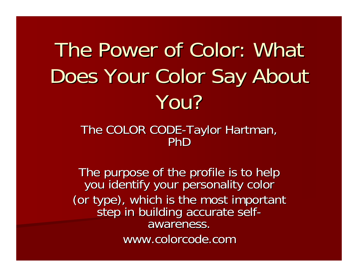### The Power of Color: What Does Your Color Say About You?

#### The COLOR CODE DE-Taylor Hartman,<br>PhD

The purpose of the profile is to help The purpose of the profile is to help you identify your personality color you identify your personality color (or type), which is the most important<br>step in building accurate selfawareness. www.colorcode.com www.colorcode.com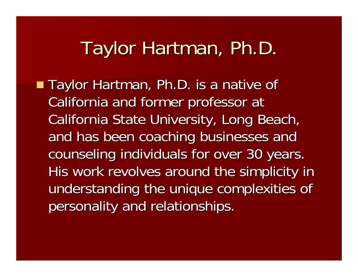#### Taylor Hartman, Ph.D.

■ Taylor Hartman, Ph.D. is a native of California and former professor at California State University, Long Beach, and has been coaching businesses and counseling individuals for over 30 years. His work revolves around the simplicity in understanding the unique complexities of personality and relationships.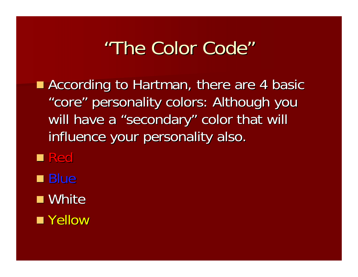#### "The Color Code"

According to Hartman, there are 4 basic "core" personality colors: Although you will have a "secondary" color that will influence your personality also.

■ Red

■ Blue

■ White

■ Yellow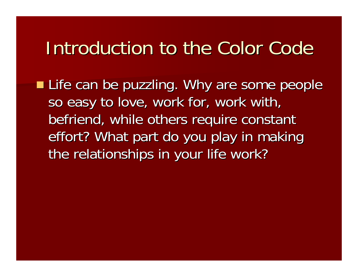#### Introduction to the Color Code

**Life can be puzzling. Why are some people** so easy to love, work for, work with, befriend, while others require constant effort? What part do you play in making the relationships in your life work?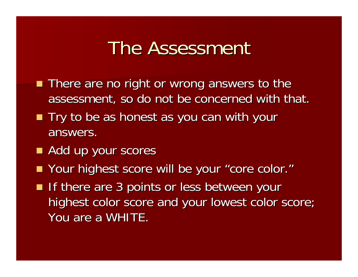#### The Assessment

- **There are no right or wrong answers to the** assessment, so do not be concerned with that.
- Try to be as honest as you can with your answers.
- Add up your scores
- Your highest score will be your "core color. "
- If there are 3 points or less between your highest color score and your lowest color score; You are a WHITE.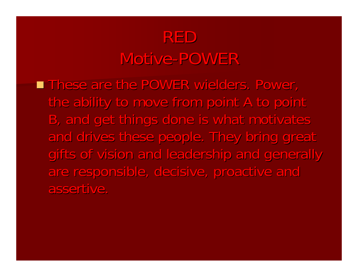#### REDMotive-POWER

**These are the POWER wielders. Power,** the ability to move from point A to point B, and get things done is what motivates and drives these people. They bring great gifts of vision and leadership and generally are responsible, decisive, proactive and assertive.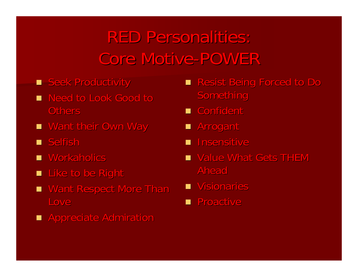#### **RED Personalities:** Core Motive-POWER

- **B** Seek Productivity
- **Need to Look Good to Need to Others**
- **E** Want their Own Way
- $\blacksquare$  Selfish
- $\blacksquare$  Workaholics
- $\blacksquare$  Like to be Right
- Want Respect More Than Love
- **E** Appreciate Admiration
- **Resist Being Forced to Do** Something
- Confident
- $\blacksquare$  Arrogant
- **n** Insensitive
- $\blacksquare$  Value What Gets THEM Ahead
- **Nisionaries**
- **Represent**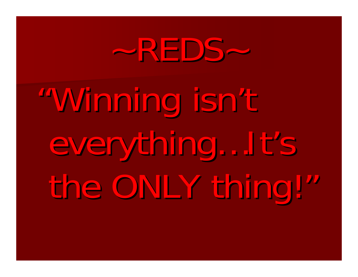# ~REDS~

"Winning isn Winning isn 't everything...It's the ONLY thing!"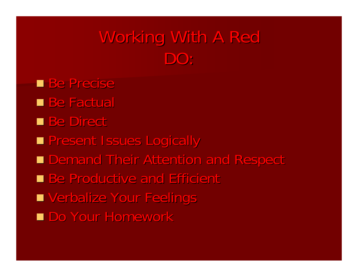#### Working With A Red DO:

**Be Precise** ■ Be Factual **Be Direct Resent Issues Logically** ■ Demand Their Attention and Respect **Be Productive and Efficient** ■ Verbalize Your Feelings ■ Do Your Homework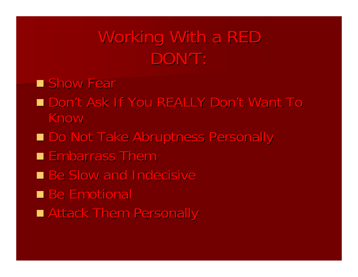#### Working With a RED DON'T:

**E** Show Fear

- Don't Ask If You REALLY Don't Want To Know
- Do Not Take Abruptness Personally
- **Embarrass Them**
- **Be Slow and Indecisive**
- **Be Emotional**
- **Example Attack Them Personally**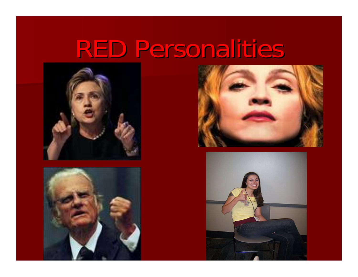### RED Personalities







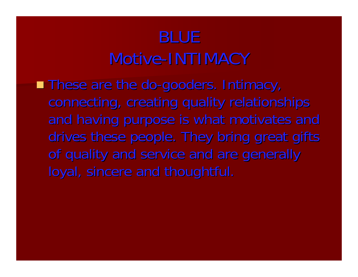#### BLUEMotive-INTIMACY

■ These are the do-gooders. Intimacy, connecting, creating quality relationships and having purpose is what motivates and drives these people. They bring great gifts of quality and service and are generally loyal, sincere and thoughtful.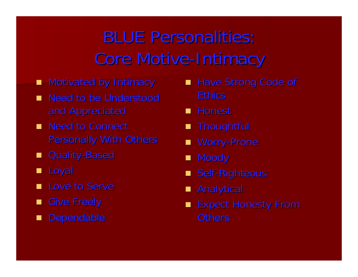### **BLUE Personalities:** Core Motive-Intimacy

- $\blacksquare$  Motivated by Intimacy
- **Need to be Understood** and Appreciated
- **Need to Connect** Personally With Others
- Quality-Based
- Loyal
- **Love to Serve**
- $\blacksquare$  Give Freely
- Dependable
- Have Strong Code of **Ethics**
- Honest
- $\blacksquare$  Thoughtful
- Worry-Prone
- Moody
- Self-Righteous
- $\blacksquare$  Analytical
- Expect Honesty From **Others**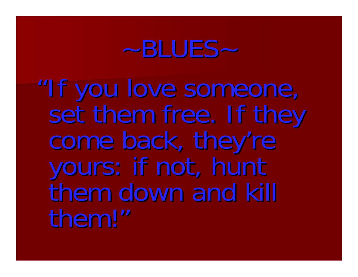### $-BLUES-$

"If you love someone,<br>I set them free. If they<br>come back, they're<br>yours: if not, hunt<br>them down and kill them!"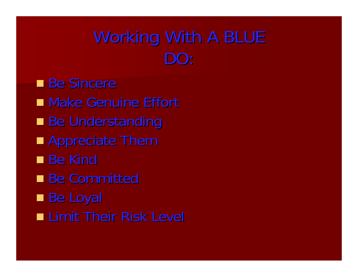#### Working With A BLUE DO:

Be Sincere **Nake Genuine Effort Be Understanding Appreciate Them**  $\blacksquare$  Be Kind ■ Be Committed ■ Be Loyal ■ Limit Their Risk Level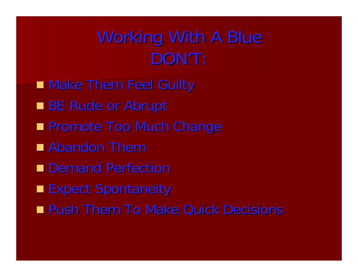#### Working With A Blue DON'T:

■ Make Them Feel Guilty BE Rude or Abrupt **Reference Too Much Change In Promote Too Much Change Abandon Them** ■ Demand Perfection **Expect Spontaneity Push Them To Make Quick Decisions**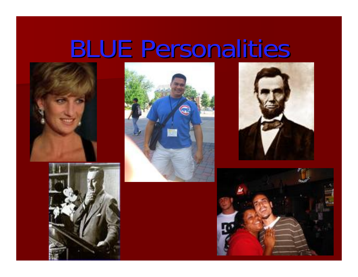### **BLUE Personalities**









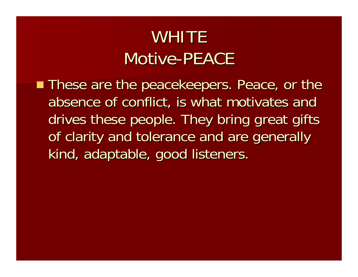#### **WHITE** Motive-PEACE

■ These are the peacekeepers. Peace, or the absence of conflict, is what motivates and drives these people. They bring great gifts of clarity and tolerance and are generally kind, adaptable, good listeners.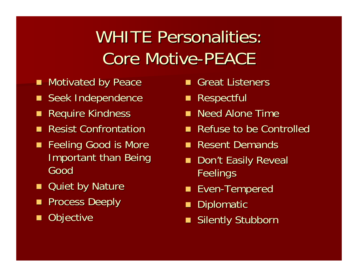#### WHITE Personalities: Core Motive-PEACE

- Motivated by Peace
- Seek Independence
- $\blacksquare$ **Require Kindness**
- **Resist Confrontation**
- $\blacksquare$ Feeling Good is More **Important than Being** Good
- $\blacksquare$ **Quiet by Nature**
- $\blacksquare$ Process Deeply
- $\blacksquare$ **Objective**
- Great Listeners
- **Respectful**
- Need Alone Time
- **Refuse to be Controlled**
- **Resent Demands**
- Don't Easily Reveal **Feelings**
- **Even-Tempered**
- **Diplomatic**
- Silently Stubborn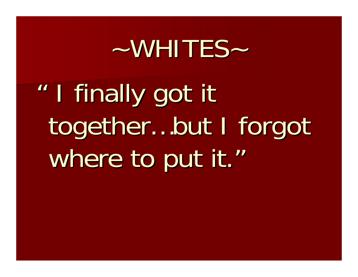### $\sim$  WHITES  $\sim$

" I finally got it together...but I forgot where to put it."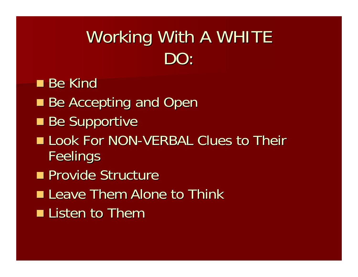#### Working With A WHITE DO:

 $\blacksquare$  Be Kind **Be Accepting and Open Be Supportive** Look For NON-VERBAL Clues to Their **Feelings Provide Structure Leave Them Alone to Think Thank Listen to Them**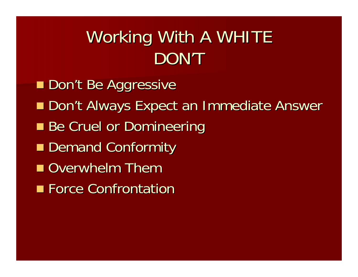#### Working With A WHITE DON'T

**Don't Be Aggressive** ■ Don't Always Expect an Immediate Answer **Be Cruel or Domineering** ■ Demand Conformity **Overwhelm Them Force Confrontation**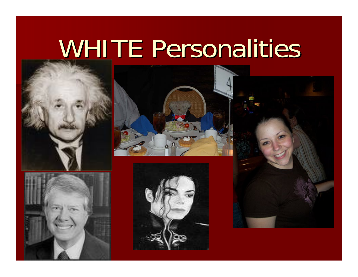## **WHITE Personalities**









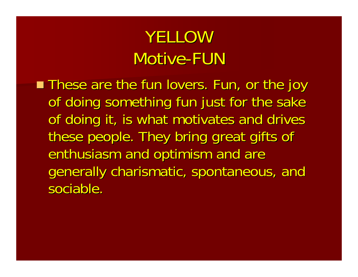#### YELLOWMotive-FUN

**These are the fun lovers. Fun, or the joy** of doing something fun just for the sake of doing it, is what motivates and drives these people. They bring great gifts of enthusiasm and optimism and are generally charismatic, spontaneous, and sociable.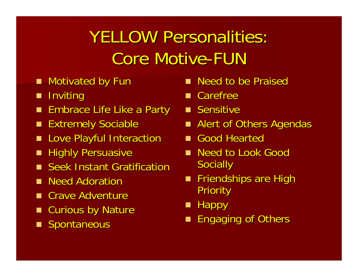### **YELLOW Personalities: Core Motive-FUN**

- Motivated by Fun
- $\blacksquare$ **Inviting**
- $\blacksquare$  Embrace Life Like a Party
- Extremely Sociable
- **E** Love Playful Interaction
- **Highly Persuasive Highly Persuasive**
- **Seek Instant Gratification**
- **Need Adoration**
- **E** Crave Adventure
- Curious by Nature
- **Spontaneous**
- Need to be Praised
- $\blacksquare$  Carefree
- **B** Sensitive
- Alert of Others Agendas
- Good Hearted
- Need to Look Good **Socially**
- **Friendships are High** Priority
- $\blacksquare$  Happy
- **Engaging of Others**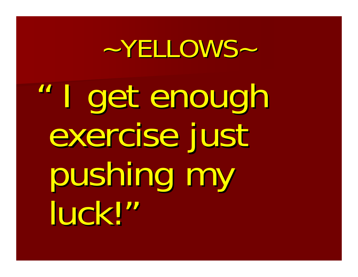### ~YELLOWS~

" I get enough I get enough exercise just pushing my pushing my luck! "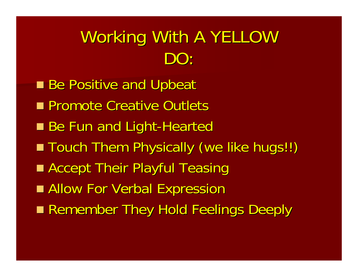#### Working With A YELLOW DO:

**Be Positive and Upbeat Promote Creative Outlets** ■ Be Fun and Light-Hearted ■ Touch Them Physically (we like hugs!!) **Example Accept Their Playful Teasing Allow For Verbal Expression** ■ Remember They Hold Feelings Deeply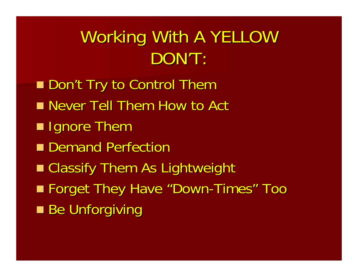#### Working With A YELLOW DON'T:

■ Don't Try to Control Them ■ Never Tell Them How to Act  $\blacksquare$  Ignore Them ■ Demand Perfection ■ Classify Them As Lightweight ■ Forget They Have "Down-Times " Too **Be Unforgiving**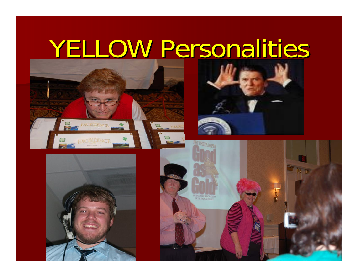### YELLOW Personalities